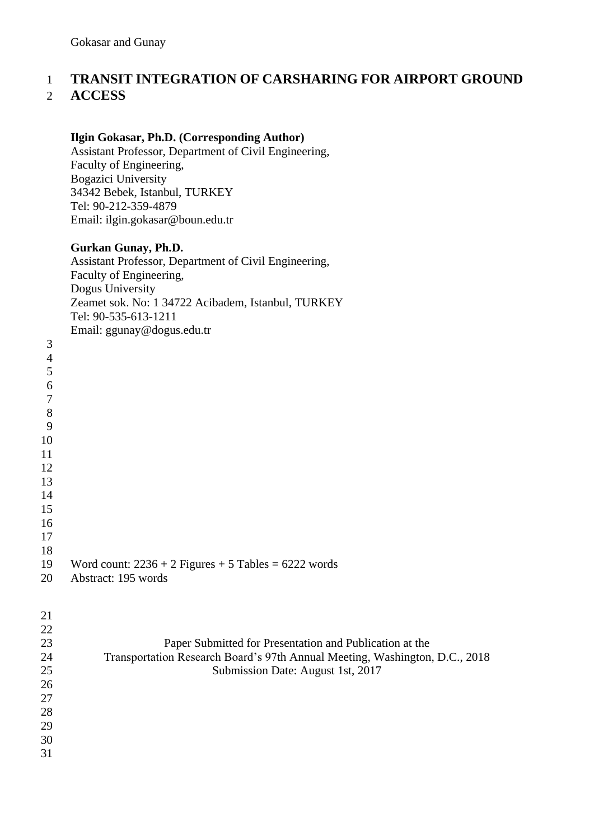### **TRANSIT INTEGRATION OF CARSHARING FOR AIRPORT GROUND ACCESS**

#### **Ilgin Gokasar, Ph.D. (Corresponding Author)**

Assistant Professor, Department of Civil Engineering, Faculty of Engineering, Bogazici University 34342 Bebek, Istanbul, TURKEY Tel: 90-212-359-4879 Email: ilgin.gokasar@boun.edu.tr

#### **Gurkan Gunay, Ph.D.**

Assistant Professor, Department of Civil Engineering, Faculty of Engineering, Dogus University Zeamet sok. No: 1 34722 Acibadem, Istanbul, TURKEY Tel: 90-535-613-1211 Email: ggunay@dogus.edu.tr

|                | $\sigma$ $\sigma$ $\sim$ $\sigma$ $\sim$ $\sigma$      |
|----------------|--------------------------------------------------------|
| 3              |                                                        |
| $\overline{4}$ |                                                        |
| $\mathfrak{S}$ |                                                        |
| 6              |                                                        |
| $\overline{7}$ |                                                        |
| 8              |                                                        |
| 9              |                                                        |
| 10             |                                                        |
| 11             |                                                        |
| 12             |                                                        |
| 13             |                                                        |
| 14             |                                                        |
| 15             |                                                        |
| 16             |                                                        |
| 17             |                                                        |
| 18             |                                                        |
| 19             | Word count: $2236 + 2$ Figures + 5 Tables = 6222 words |
| 20             | Abstract: 195 words                                    |
|                |                                                        |

| 21 |                                                                             |
|----|-----------------------------------------------------------------------------|
| 22 |                                                                             |
| 23 | Paper Submitted for Presentation and Publication at the                     |
| 24 | Transportation Research Board's 97th Annual Meeting, Washington, D.C., 2018 |
| 25 | Submission Date: August 1st, 2017                                           |
| 26 |                                                                             |
| 27 |                                                                             |
| 28 |                                                                             |
| 29 |                                                                             |
| 30 |                                                                             |
| 31 |                                                                             |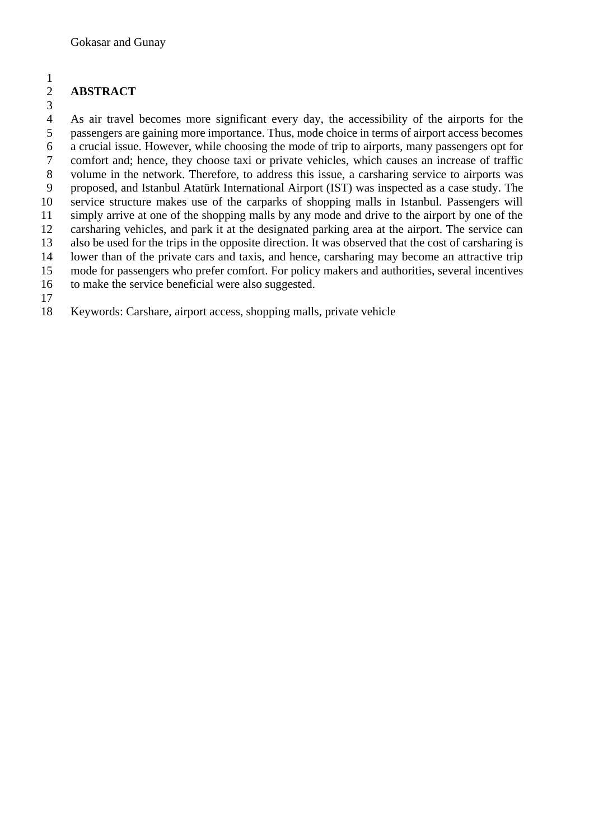#### **ABSTRACT**

 As air travel becomes more significant every day, the accessibility of the airports for the passengers are gaining more importance. Thus, mode choice in terms of airport access becomes a crucial issue. However, while choosing the mode of trip to airports, many passengers opt for comfort and; hence, they choose taxi or private vehicles, which causes an increase of traffic volume in the network. Therefore, to address this issue, a carsharing service to airports was proposed, and Istanbul Atatürk International Airport (IST) was inspected as a case study. The service structure makes use of the carparks of shopping malls in Istanbul. Passengers will simply arrive at one of the shopping malls by any mode and drive to the airport by one of the carsharing vehicles, and park it at the designated parking area at the airport. The service can also be used for the trips in the opposite direction. It was observed that the cost of carsharing is lower than of the private cars and taxis, and hence, carsharing may become an attractive trip mode for passengers who prefer comfort. For policy makers and authorities, several incentives to make the service beneficial were also suggested. 

Keywords: Carshare, airport access, shopping malls, private vehicle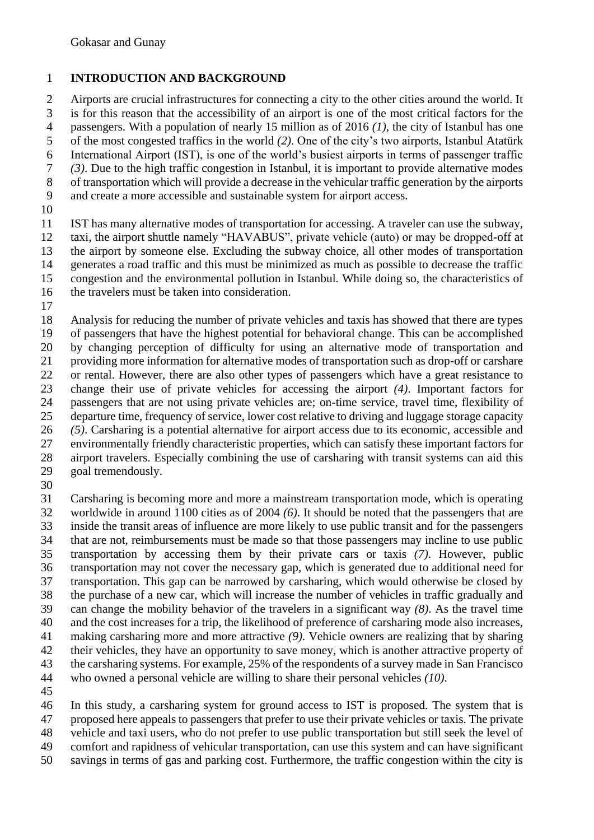### **INTRODUCTION AND BACKGROUND**

 Airports are crucial infrastructures for connecting a city to the other cities around the world. It is for this reason that the accessibility of an airport is one of the most critical factors for the passengers. With a population of nearly 15 million as of 2016 *(1)*, the city of Istanbul has one of the most congested traffics in the world *(2)*. One of the city's two airports, Istanbul Atatürk International Airport (IST), is one of the world's busiest airports in terms of passenger traffic *(3)*. Due to the high traffic congestion in Istanbul, it is important to provide alternative modes of transportation which will provide a decrease in the vehicular traffic generation by the airports and create a more accessible and sustainable system for airport access.

 IST has many alternative modes of transportation for accessing. A traveler can use the subway, taxi, the airport shuttle namely "HAVABUS", private vehicle (auto) or may be dropped-off at the airport by someone else. Excluding the subway choice, all other modes of transportation generates a road traffic and this must be minimized as much as possible to decrease the traffic congestion and the environmental pollution in Istanbul. While doing so, the characteristics of the travelers must be taken into consideration.

18 Analysis for reducing the number of private vehicles and taxis has showed that there are types<br>19 of passengers that have the highest potential for behavioral change. This can be accomplished of passengers that have the highest potential for behavioral change. This can be accomplished by changing perception of difficulty for using an alternative mode of transportation and providing more information for alternative modes of transportation such as drop-off or carshare or rental. However, there are also other types of passengers which have a great resistance to change their use of private vehicles for accessing the airport *(4)*. Important factors for passengers that are not using private vehicles are; on-time service, travel time, flexibility of departure time, frequency of service, lower cost relative to driving and luggage storage capacity *(5)*. Carsharing is a potential alternative for airport access due to its economic, accessible and environmentally friendly characteristic properties, which can satisfy these important factors for airport travelers. Especially combining the use of carsharing with transit systems can aid this goal tremendously.

 Carsharing is becoming more and more a mainstream transportation mode, which is operating worldwide in around 1100 cities as of 2004 *(6)*. It should be noted that the passengers that are inside the transit areas of influence are more likely to use public transit and for the passengers that are not, reimbursements must be made so that those passengers may incline to use public transportation by accessing them by their private cars or taxis *(7)*. However, public transportation may not cover the necessary gap, which is generated due to additional need for transportation. This gap can be narrowed by carsharing, which would otherwise be closed by the purchase of a new car, which will increase the number of vehicles in traffic gradually and can change the mobility behavior of the travelers in a significant way *(8)*. As the travel time and the cost increases for a trip, the likelihood of preference of carsharing mode also increases, making carsharing more and more attractive *(9)*. Vehicle owners are realizing that by sharing their vehicles, they have an opportunity to save money, which is another attractive property of the carsharing systems. For example, 25% of the respondents of a survey made in San Francisco who owned a personal vehicle are willing to share their personal vehicles *(10)*.

 In this study, a carsharing system for ground access to IST is proposed. The system that is proposed here appeals to passengers that prefer to use their private vehicles or taxis. The private

vehicle and taxi users, who do not prefer to use public transportation but still seek the level of

- comfort and rapidness of vehicular transportation, can use this system and can have significant
- savings in terms of gas and parking cost. Furthermore, the traffic congestion within the city is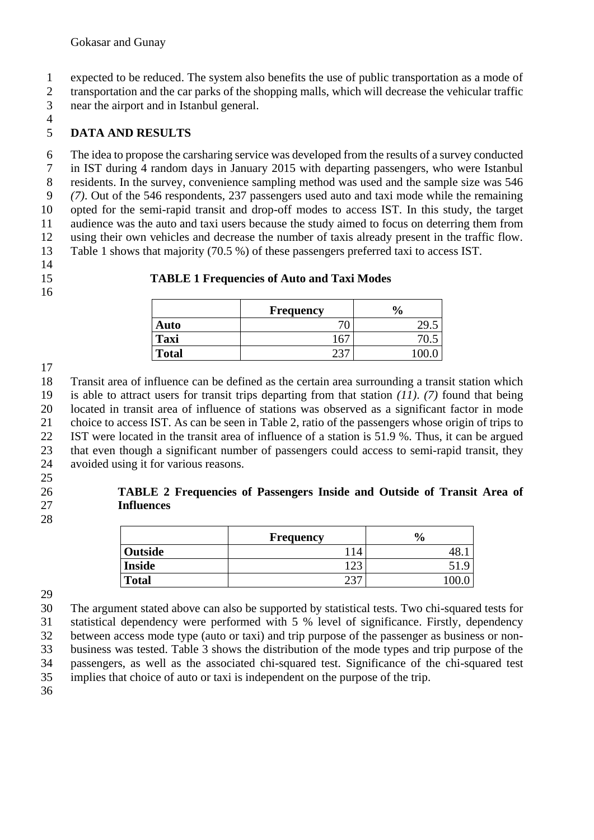expected to be reduced. The system also benefits the use of public transportation as a mode of transportation and the car parks of the shopping malls, which will decrease the vehicular traffic near the airport and in Istanbul general.

### **DATA AND RESULTS**

 The idea to propose the carsharing service was developed from the results of a survey conducted in IST during 4 random days in January 2015 with departing passengers, who were Istanbul residents. In the survey, convenience sampling method was used and the sample size was 546 *(7)*. Out of the 546 respondents, 237 passengers used auto and taxi mode while the remaining opted for the semi-rapid transit and drop-off modes to access IST. In this study, the target audience was the auto and taxi users because the study aimed to focus on deterring them from using their own vehicles and decrease the number of taxis already present in the traffic flow. Table 1 shows that majority (70.5 %) of these passengers preferred taxi to access IST.

#### 

#### **TABLE 1 Frequencies of Auto and Taxi Modes**

|              | <b>Frequency</b>               | $\frac{0}{0}$ |
|--------------|--------------------------------|---------------|
| Auto         | J                              |               |
| <b>Taxi</b>  | $\overline{\phantom{a}}$<br>10 |               |
| <b>Total</b> |                                |               |

 Transit area of influence can be defined as the certain area surrounding a transit station which is able to attract users for transit trips departing from that station *(11)*. *(7)* found that being located in transit area of influence of stations was observed as a significant factor in mode choice to access IST. As can be seen in Table 2, ratio of the passengers whose origin of trips to IST were located in the transit area of influence of a station is 51.9 %. Thus, it can be argued that even though a significant number of passengers could access to semi-rapid transit, they avoided using it for various reasons.

# **Influences**

#### 

| 26 | TABLE 2 Frequencies of Passengers Inside and Outside of Transit Area of |
|----|-------------------------------------------------------------------------|
| 27 | <b>Influences</b>                                                       |

|               | Frequency               | $\mathbf{0}$<br>70 |
|---------------|-------------------------|--------------------|
| Outside       | 4                       |                    |
| <b>Inside</b> | $1 \wedge \wedge$<br>~∼ |                    |
| <b>Total</b>  | $\cap$                  |                    |

 The argument stated above can also be supported by statistical tests. Two chi-squared tests for statistical dependency were performed with 5 % level of significance. Firstly, dependency between access mode type (auto or taxi) and trip purpose of the passenger as business or non- business was tested. Table 3 shows the distribution of the mode types and trip purpose of the passengers, as well as the associated chi-squared test. Significance of the chi-squared test implies that choice of auto or taxi is independent on the purpose of the trip.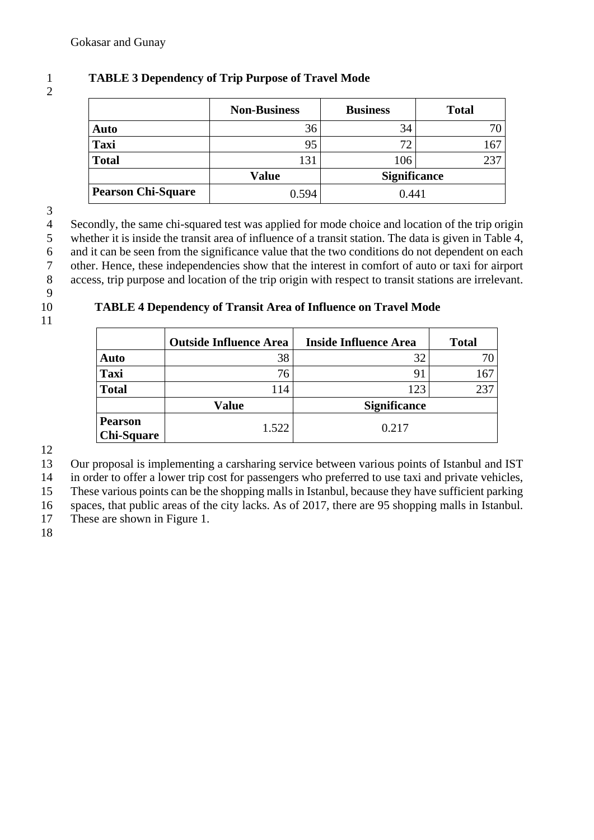## 2

#### 1 **TABLE 3 Dependency of Trip Purpose of Travel Mode**

|                           | <b>Non-Business</b> | <b>Business</b>     | <b>Total</b> |
|---------------------------|---------------------|---------------------|--------------|
| Auto                      | 36                  | 34                  | 70           |
| <b>Taxi</b>               | 95                  | 72                  | 167          |
| <b>Total</b>              | 131                 | 106                 | 237          |
|                           | <b>Value</b>        | <b>Significance</b> |              |
| <b>Pearson Chi-Square</b> | 0.594               | 0.441               |              |

 $\frac{3}{4}$ 4 Secondly, the same chi-squared test was applied for mode choice and location of the trip origin<br>5 whether it is inside the transit area of influence of a transit station. The data is given in Table 4, 5 whether it is inside the transit area of influence of a transit station. The data is given in Table 4, 6 and it can be seen from the significance value that the two conditions do not dependent on each 7 other. Hence, these independencies show that the interest in comfort of auto or taxi for airport access, trip purpose and location of the trip origin with respect to transit stations are irrelevant. access, trip purpose and location of the trip origin with respect to transit stations are irrelevant.

- 9
- 
- 11

#### 10 **TABLE 4 Dependency of Transit Area of Influence on Travel Mode**

|                                     | <b>Outside Influence Area</b> | <b>Inside Influence Area</b> | <b>Total</b> |
|-------------------------------------|-------------------------------|------------------------------|--------------|
| Auto                                | 38                            | 32                           |              |
| <b>Taxi</b>                         | 76                            | 91                           | 167          |
| <b>Total</b>                        | 114                           | 123                          | 237          |
|                                     | <b>Value</b>                  | <b>Significance</b>          |              |
| <b>Pearson</b><br><b>Chi-Square</b> | 1.522                         | 0.217                        |              |

12

13 Our proposal is implementing a carsharing service between various points of Istanbul and IST

14 in order to offer a lower trip cost for passengers who preferred to use taxi and private vehicles,

15 These various points can be the shopping malls in Istanbul, because they have sufficient parking

16 spaces, that public areas of the city lacks. As of 2017, there are 95 shopping malls in Istanbul.

17 These are shown in Figure 1.

18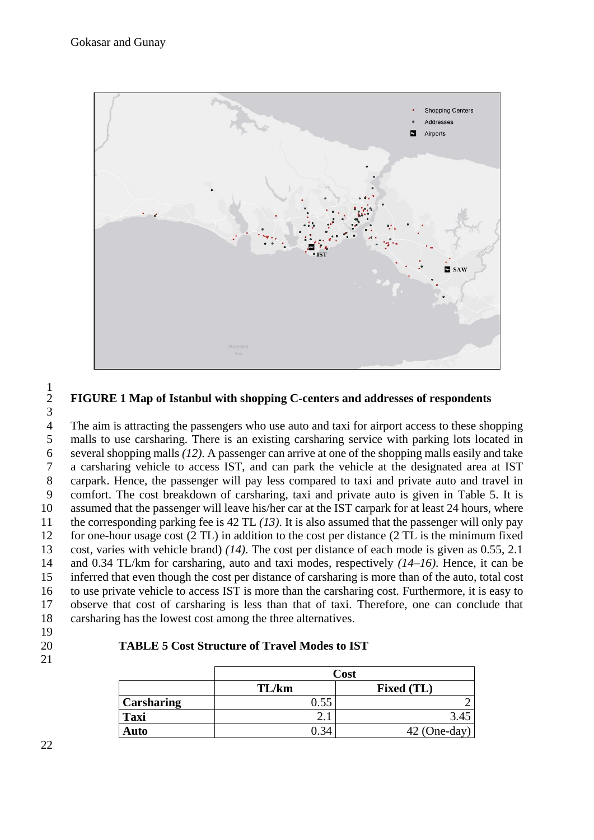

#### **FIGURE 1 Map of Istanbul with shopping C-centers and addresses of respondents**

The aim is attracting the passengers who use auto and taxi for airport access to these shopping malls to use carsharing. There is an existing carsharing service with parking lots located in several shopping malls *(12)*. A passenger can arrive at one of the shopping malls easily and take a carsharing vehicle to access IST, and can park the vehicle at the designated area at IST carpark. Hence, the passenger will pay less compared to taxi and private auto and travel in comfort. The cost breakdown of carsharing, taxi and private auto is given in Table 5. It is assumed that the passenger will leave his/her car at the IST carpark for at least 24 hours, where the corresponding parking fee is 42 TL *(13)*. It is also assumed that the passenger will only pay for one-hour usage cost (2 TL) in addition to the cost per distance (2 TL is the minimum fixed cost, varies with vehicle brand) *(14)*. The cost per distance of each mode is given as 0.55, 2.1 and 0.34 TL/km for carsharing, auto and taxi modes, respectively *(14–16)*. Hence, it can be inferred that even though the cost per distance of carsharing is more than of the auto, total cost to use private vehicle to access IST is more than the carsharing cost. Furthermore, it is easy to observe that cost of carsharing is less than that of taxi. Therefore, one can conclude that carsharing has the lowest cost among the three alternatives.

- 
- 

#### **TABLE 5 Cost Structure of Travel Modes to IST**

|                   | Cost  |                   |
|-------------------|-------|-------------------|
|                   | TL/km | <b>Fixed (TL)</b> |
| <b>Carsharing</b> |       |                   |
| <b>Taxi</b>       |       | 3.45              |
| Auto              |       | $42$ (One-day)    |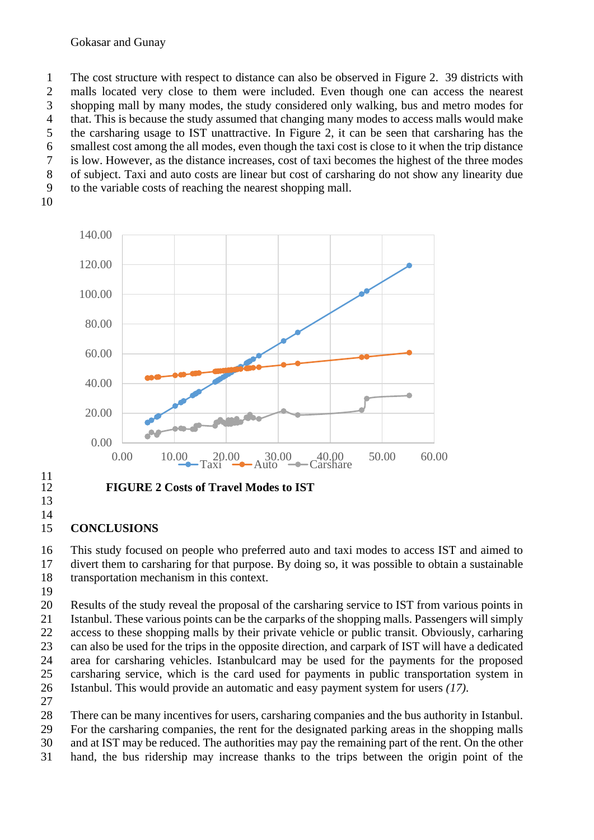#### Gokasar and Gunay

 The cost structure with respect to distance can also be observed in Figure 2. 39 districts with malls located very close to them were included. Even though one can access the nearest shopping mall by many modes, the study considered only walking, bus and metro modes for that. This is because the study assumed that changing many modes to access malls would make the carsharing usage to IST unattractive. In Figure 2, it can be seen that carsharing has the smallest cost among the all modes, even though the taxi cost is close to it when the trip distance is low. However, as the distance increases, cost of taxi becomes the highest of the three modes of subject. Taxi and auto costs are linear but cost of carsharing do not show any linearity due to the variable costs of reaching the nearest shopping mall.



 $\frac{11}{12}$ 

#### **CONCLUSIONS**

 This study focused on people who preferred auto and taxi modes to access IST and aimed to divert them to carsharing for that purpose. By doing so, it was possible to obtain a sustainable transportation mechanism in this context.

 Results of the study reveal the proposal of the carsharing service to IST from various points in Istanbul. These various points can be the carparks of the shopping malls. Passengers will simply access to these shopping malls by their private vehicle or public transit. Obviously, carharing can also be used for the trips in the opposite direction, and carpark of IST will have a dedicated area for carsharing vehicles. Istanbulcard may be used for the payments for the proposed carsharing service, which is the card used for payments in public transportation system in Istanbul. This would provide an automatic and easy payment system for users *(17)*.

There can be many incentives for users, carsharing companies and the bus authority in Istanbul.

- For the carsharing companies, the rent for the designated parking areas in the shopping malls
- and at IST may be reduced. The authorities may pay the remaining part of the rent. On the other
- hand, the bus ridership may increase thanks to the trips between the origin point of the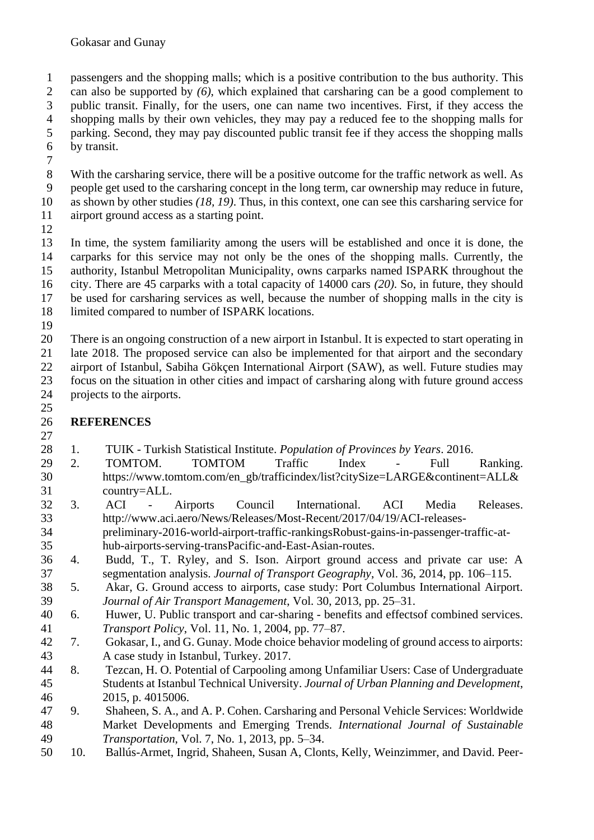passengers and the shopping malls; which is a positive contribution to the bus authority. This can also be supported by *(6)*, which explained that carsharing can be a good complement to public transit. Finally, for the users, one can name two incentives. First, if they access the shopping malls by their own vehicles, they may pay a reduced fee to the shopping malls for parking. Second, they may pay discounted public transit fee if they access the shopping malls by transit.

 With the carsharing service, there will be a positive outcome for the traffic network as well. As people get used to the carsharing concept in the long term, car ownership may reduce in future, as shown by other studies *(18, 19)*. Thus, in this context, one can see this carsharing service for airport ground access as a starting point.

 In time, the system familiarity among the users will be established and once it is done, the carparks for this service may not only be the ones of the shopping malls. Currently, the authority, Istanbul Metropolitan Municipality, owns carparks named ISPARK throughout the city. There are 45 carparks with a total capacity of 14000 cars *(20)*. So, in future, they should be used for carsharing services as well, because the number of shopping malls in the city is limited compared to number of ISPARK locations.

 There is an ongoing construction of a new airport in Istanbul. It is expected to start operating in late 2018. The proposed service can also be implemented for that airport and the secondary airport of Istanbul, Sabiha Gökçen International Airport (SAW), as well. Future studies may focus on the situation in other cities and impact of carsharing along with future ground access projects to the airports.

#### **REFERENCES**

- 1. TUIK Turkish Statistical Institute. *Population of Provinces by Years*. 2016.
- 2. TOMTOM. TOMTOM Traffic Index Full Ranking. https://www.tomtom.com/en\_gb/trafficindex/list?citySize=LARGE&continent=ALL& country=ALL.
- 3. ACI Airports Council International. ACI Media Releases. http://www.aci.aero/News/Releases/Most-Recent/2017/04/19/ACI-releases- preliminary-2016-world-airport-traffic-rankingsRobust-gains-in-passenger-traffic-at-hub-airports-serving-transPacific-and-East-Asian-routes.
- 4. Budd, T., T. Ryley, and S. Ison. Airport ground access and private car use: A segmentation analysis. *Journal of Transport Geography*, Vol. 36, 2014, pp. 106–115.
- 5. Akar, G. Ground access to airports, case study: Port Columbus International Airport. *Journal of Air Transport Management*, Vol. 30, 2013, pp. 25–31.
- 6. Huwer, U. Public transport and car-sharing benefits and effectsof combined services. *Transport Policy*, Vol. 11, No. 1, 2004, pp. 77–87.
- 7. Gokasar, I., and G. Gunay. Mode choice behavior modeling of ground access to airports: A case study in Istanbul, Turkey. 2017.
- 8. Tezcan, H. O. Potential of Carpooling among Unfamiliar Users: Case of Undergraduate Students at Istanbul Technical University. *Journal of Urban Planning and Development*, 2015, p. 4015006.
- 9. Shaheen, S. A., and A. P. Cohen. Carsharing and Personal Vehicle Services: Worldwide Market Developments and Emerging Trends. *International Journal of Sustainable Transportation*, Vol. 7, No. 1, 2013, pp. 5–34.
- 10. Ballús-Armet, Ingrid, Shaheen, Susan A, Clonts, Kelly, Weinzimmer, and David. Peer-